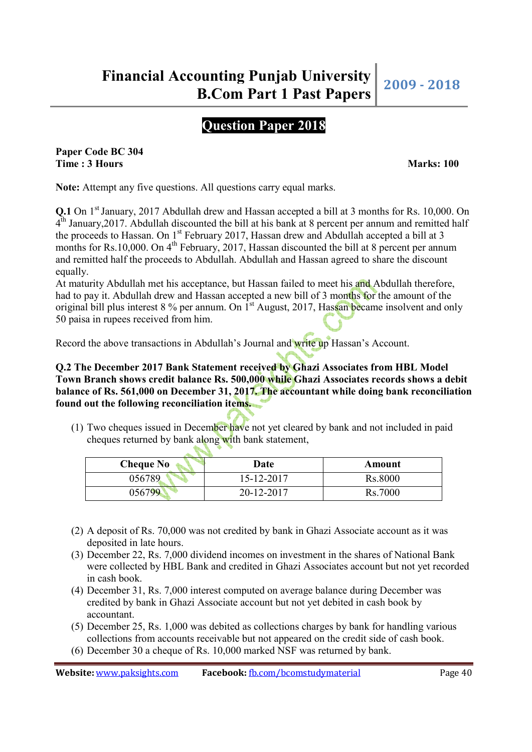# **Question Paper 2018**

**Paper Code BC 304 Time : 3 Hours Marks: 100** 

**Note:** Attempt any five questions. All questions carry equal marks.

**Q.1** On 1<sup>st</sup> January, 2017 Abdullah drew and Hassan accepted a bill at 3 months for Rs. 10,000. On 4<sup>th</sup> January, 2017. Abdullah discounted the bill at his bank at 8 percent per annum and remitted half the proceeds to Hassan. On 1<sup>st</sup> February 2017, Hassan drew and Abdullah accepted a bill at 3 months for Rs.10,000. On  $4^{th}$  February, 2017, Hassan discounted the bill at 8 percent per annum and remitted half the proceeds to Abdullah. Abdullah and Hassan agreed to share the discount equally.

At maturity Abdullah met his acceptance, but Hassan failed to meet his and Abdullah therefore, had to pay it. Abdullah drew and Hassan accepted a new bill of 3 months for the amount of the original bill plus interest 8 % per annum. On 1<sup>st</sup> August, 2017, Hassan became insolvent and only 50 paisa in rupees received from him.

Record the above transactions in Abdullah's Journal and write up Hassan's Account.

### **Q.2 The December 2017 Bank Statement received by Ghazi Associates from HBL Model Town Branch shows credit balance Rs. 500,000 while Ghazi Associates records shows a debit balance of Rs. 561,000 on December 31, 2017. The accountant while doing bank reconciliation found out the following reconciliation items.**

(1) Two cheques issued in December have not yet cleared by bank and not included in paid cheques returned by bank along with bank statement,

| <b>Cheque No</b> | Date       | Amount  |
|------------------|------------|---------|
| 056789           | 15-12-2017 | Rs.8000 |
| 056799           | 20-12-2017 | Rs.7000 |

- (2) A deposit of Rs. 70,000 was not credited by bank in Ghazi Associate account as it was deposited in late hours.
- (3) December 22, Rs. 7,000 dividend incomes on investment in the shares of National Bank were collected by HBL Bank and credited in Ghazi Associates account but not yet recorded in cash book.
- (4) December 31, Rs. 7,000 interest computed on average balance during December was credited by bank in Ghazi Associate account but not yet debited in cash book by accountant.
- (5) December 25, Rs. 1,000 was debited as collections charges by bank for handling various collections from accounts receivable but not appeared on the credit side of cash book.
- (6) December 30 a cheque of Rs. 10,000 marked NSF was returned by bank.

 $\ell$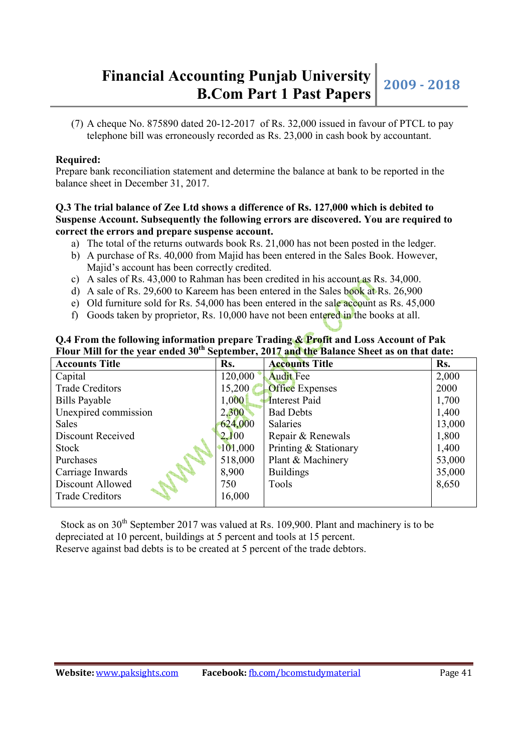# **Financial Accounting Punjab University bunting Punjab University** 2009 - 2018<br>**B.Com Part 1 Past Papers**

(7) A cheque No. 875890 dated  $20-12-2017$  of Rs. 32,000 issued in favour of PTCL to pay telephone bill was erroneously recorded as Rs. 23,000 in cash book by accountant.

### **Required:**

Prepare bank reconciliation statement and determine the balance at bank to be reported in the balance sheet in December 31, 2017.

#### **Q.3 The trial balance of Zee Ltd shows a difference of Rs. 127,000 which is debited to Suspense Account. Subsequently the following errors are discovered. You are required to correct the errors and prepare suspense account.**

- a) The total of the returns outwards book Rs. 21,000 has not been posted in the ledger.
- b) A purchase of Rs. 40,000 from Majid has been entered in the Sales Book. However, Majid's account has been correctly credited.
- c) A sales of Rs. 43,000 to Rahman has been credited in his account as Rs. 34,000.
- d) A sale of Rs. 29,600 to Kareem has been entered in the Sales book at Rs. 26,900
- e) Old furniture sold for Rs. 54,000 has been entered in the sale account as Rs. 45,000
- f) Goods taken by proprietor, Rs. 10,000 have not been entered in the books at all.

## **Q.4 From the following information prepare Trading & Profit and Loss Account of Pak Flour Mill for the year ended 30th September, 2017 and the Balance Sheet as on that date:**

| <b>Accounts Title</b>    | Rs.        | <b>Accounts Title</b>  | Rs.    |
|--------------------------|------------|------------------------|--------|
| Capital                  | 120,000    | <b>Audit Fee</b>       | 2,000  |
| <b>Trade Creditors</b>   | 15,200     | <b>Office Expenses</b> | 2000   |
| <b>Bills Payable</b>     | 1,000      | Interest Paid          | 1,700  |
| Unexpired commission     | 2,300      | <b>Bad Debts</b>       | 1,400  |
| <b>Sales</b>             | 624,000    | <b>Salaries</b>        | 13,000 |
| <b>Discount Received</b> | 2,100      | Repair & Renewals      | 1,800  |
| Stock                    | $*101,000$ | Printing & Stationary  | 1,400  |
| Purchases                | 518,000    | Plant & Machinery      | 53,000 |
| Carriage Inwards         | 8,900      | <b>Buildings</b>       | 35,000 |
| Discount Allowed         | 750        | Tools                  | 8,650  |
| <b>Trade Creditors</b>   | 16,000     |                        |        |

Stock as on  $30<sup>th</sup>$  September 2017 was valued at Rs. 109,900. Plant and machinery is to be depreciated at 10 percent, buildings at 5 percent and tools at 15 percent. Reserve against bad debts is to be created at 5 percent of the trade debtors.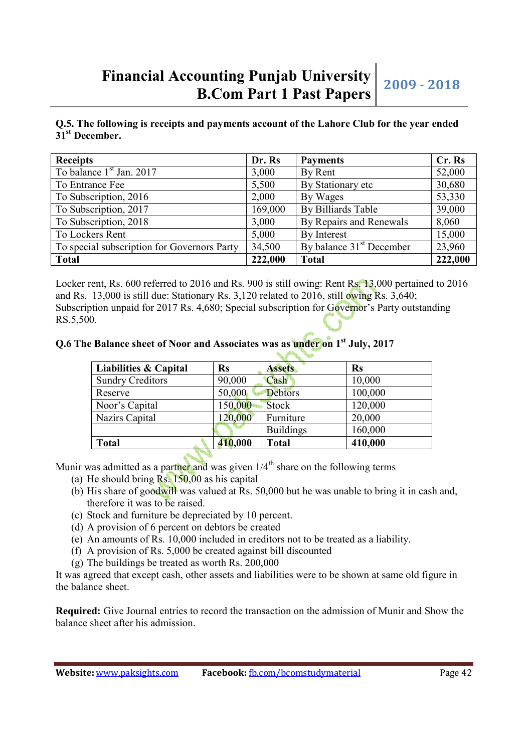# **Financial Accounting Punjab University bunting Punjab University** 2009 - 2018<br>**B.Com Part 1 Past Papers**

**Q.5. The following is receipts and payments account of the Lahore Club for the year ended 31st December.** 

| <b>Receipts</b>                             | Dr. Rs  | <b>Payments</b>                      | Cr. Rs  |
|---------------------------------------------|---------|--------------------------------------|---------|
| To balance $1st$ Jan. 2017                  | 3,000   | By Rent                              | 52,000  |
| To Entrance Fee                             | 5,500   | By Stationary etc                    | 30,680  |
| To Subscription, 2016                       | 2,000   | By Wages                             | 53,330  |
| To Subscription, 2017                       | 169,000 | By Billiards Table                   | 39,000  |
| To Subscription, 2018                       | 3,000   | By Repairs and Renewals              | 8,060   |
| To Lockers Rent                             | 5,000   | By Interest                          | 15,000  |
| To special subscription for Governors Party | 34,500  | By balance 31 <sup>st</sup> December | 23,960  |
| <b>Total</b>                                | 222,000 | <b>Total</b>                         | 222,000 |

Locker rent, Rs. 600 referred to 2016 and Rs. 900 is still owing: Rent Rs. 13,000 pertained to 2016 and Rs. 13,000 is still due: Stationary Rs. 3,120 related to 2016, still owing Rs. 3,640; Subscription unpaid for 2017 Rs. 4,680; Special subscription for Governor's Party outstanding RS.5,500.

### **Q.6 The Balance sheet of Noor and Associates was as under on 1st July, 2017**

| <b>Liabilities &amp; Capital</b> | <b>Rs</b> | <b>Assets</b>    | <b>Rs</b> |
|----------------------------------|-----------|------------------|-----------|
| <b>Sundry Creditors</b>          | 90,000    | Cash             | 10,000    |
| Reserve                          | 50,000    | <b>Debtors</b>   | 100,000   |
| Noor's Capital                   | 150,000   | <b>Stock</b>     | 120,000   |
| Nazirs Capital                   | 120,000   | Furniture        | 20,000    |
|                                  |           | <b>Buildings</b> | 160,000   |
| <b>Total</b>                     | 410,000   | <b>Total</b>     | 410,000   |

Munir was admitted as a partner and was given  $1/4<sup>th</sup>$  share on the following terms

- (a) He should bring Rs. 150,00 as his capital
- (b) His share of goodwill was valued at Rs. 50,000 but he was unable to bring it in cash and, therefore it was to be raised.
- (c) Stock and furniture be depreciated by 10 percent.
- (d) A provision of 6 percent on debtors be created
- (e) An amounts of Rs. 10,000 included in creditors not to be treated as a liability.
- (f) A provision of Rs. 5,000 be created against bill discounted
- (g) The buildings be treated as worth Rs. 200,000

It was agreed that except cash, other assets and liabilities were to be shown at same old figure in the balance sheet.

**Required:** Give Journal entries to record the transaction on the admission of Munir and Show the balance sheet after his admission.